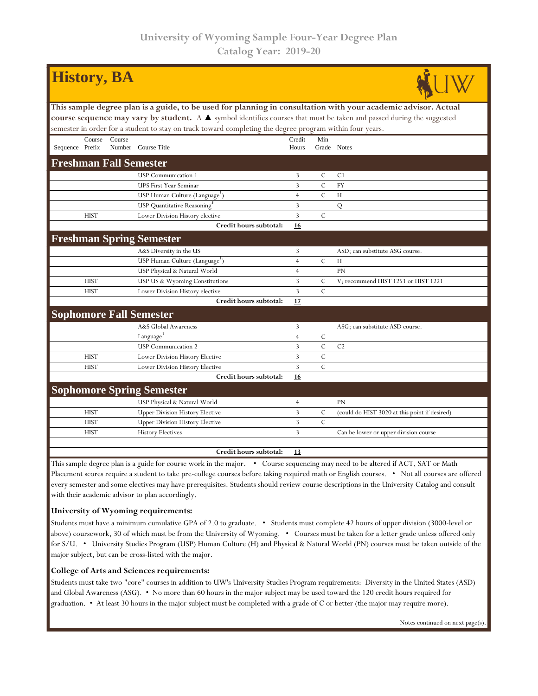| <b>History</b> , <b>BA</b>                                                                                                             |                                                                                                          |        |                                                                                                                       |                |                |                                               |  |  |  |  |  |
|----------------------------------------------------------------------------------------------------------------------------------------|----------------------------------------------------------------------------------------------------------|--------|-----------------------------------------------------------------------------------------------------------------------|----------------|----------------|-----------------------------------------------|--|--|--|--|--|
| This sample degree plan is a guide, to be used for planning in consultation with your academic advisor. Actual                         |                                                                                                          |        |                                                                                                                       |                |                |                                               |  |  |  |  |  |
|                                                                                                                                        |                                                                                                          |        | course sequence may vary by student. A A symbol identifies courses that must be taken and passed during the suggested |                |                |                                               |  |  |  |  |  |
|                                                                                                                                        | semester in order for a student to stay on track toward completing the degree program within four years. |        |                                                                                                                       |                |                |                                               |  |  |  |  |  |
|                                                                                                                                        | Course                                                                                                   | Course |                                                                                                                       | Credit         | Min            |                                               |  |  |  |  |  |
| Sequence Prefix                                                                                                                        |                                                                                                          |        | Number Course Title                                                                                                   | Hours          |                | Grade Notes                                   |  |  |  |  |  |
| <b>Freshman Fall Semester</b>                                                                                                          |                                                                                                          |        |                                                                                                                       |                |                |                                               |  |  |  |  |  |
|                                                                                                                                        |                                                                                                          |        | <b>USP</b> Communication 1                                                                                            | 3              | $\mathcal{C}$  | C <sub>1</sub>                                |  |  |  |  |  |
|                                                                                                                                        |                                                                                                          |        | <b>UPS First Year Seminar</b>                                                                                         | 3              | $\mathcal{C}$  | <b>FY</b>                                     |  |  |  |  |  |
|                                                                                                                                        |                                                                                                          |        | USP Human Culture (Language')                                                                                         | $\overline{4}$ | $\mathcal{C}$  | H                                             |  |  |  |  |  |
|                                                                                                                                        |                                                                                                          |        | USP Quantitative Reasoning'                                                                                           | 3              |                | Q                                             |  |  |  |  |  |
|                                                                                                                                        | <b>HIST</b>                                                                                              |        | Lower Division History elective                                                                                       | 3              | $\mathcal{C}$  |                                               |  |  |  |  |  |
|                                                                                                                                        |                                                                                                          |        | Credit hours subtotal:                                                                                                | 16             |                |                                               |  |  |  |  |  |
|                                                                                                                                        |                                                                                                          |        | <b>Freshman Spring Semester</b>                                                                                       |                |                |                                               |  |  |  |  |  |
|                                                                                                                                        |                                                                                                          |        | A&S Diversity in the US                                                                                               | 3              |                | ASD; can substitute ASG course.               |  |  |  |  |  |
|                                                                                                                                        |                                                                                                          |        | USP Human Culture (Language <sup>1</sup> )                                                                            | $\overline{4}$ | $\mathcal{C}$  | H                                             |  |  |  |  |  |
|                                                                                                                                        |                                                                                                          |        | USP Physical & Natural World                                                                                          | $\overline{4}$ |                | <b>PN</b>                                     |  |  |  |  |  |
|                                                                                                                                        | <b>HIST</b>                                                                                              |        | USP US & Wyoming Constitutions                                                                                        | 3              | $\mathcal{C}$  | V; recommend HIST 1251 or HIST 1221           |  |  |  |  |  |
|                                                                                                                                        | <b>HIST</b>                                                                                              |        | Lower Division History elective                                                                                       | 3              | $\mathcal{C}$  |                                               |  |  |  |  |  |
|                                                                                                                                        |                                                                                                          |        | Credit hours subtotal:                                                                                                | 17             |                |                                               |  |  |  |  |  |
|                                                                                                                                        |                                                                                                          |        | <b>Sophomore Fall Semester</b>                                                                                        |                |                |                                               |  |  |  |  |  |
|                                                                                                                                        |                                                                                                          |        | A&S Global Awareness                                                                                                  | 3              |                | ASG; can substitute ASD course.               |  |  |  |  |  |
|                                                                                                                                        |                                                                                                          |        | Language <sup>1</sup>                                                                                                 | $\overline{4}$ | C              |                                               |  |  |  |  |  |
|                                                                                                                                        |                                                                                                          |        | <b>USP</b> Communication 2                                                                                            | 3              | $\overline{C}$ | C <sub>2</sub>                                |  |  |  |  |  |
|                                                                                                                                        | <b>HIST</b>                                                                                              |        | Lower Division History Elective                                                                                       | 3              | $\mathcal{C}$  |                                               |  |  |  |  |  |
|                                                                                                                                        | <b>HIST</b>                                                                                              |        | Lower Division History Elective                                                                                       | 3              | $\overline{C}$ |                                               |  |  |  |  |  |
|                                                                                                                                        |                                                                                                          |        | Credit hours subtotal:                                                                                                | <u>16</u>      |                |                                               |  |  |  |  |  |
|                                                                                                                                        |                                                                                                          |        | <b>Sophomore Spring Semester</b>                                                                                      |                |                |                                               |  |  |  |  |  |
|                                                                                                                                        |                                                                                                          |        | USP Physical & Natural World                                                                                          | $\overline{4}$ |                | PN                                            |  |  |  |  |  |
|                                                                                                                                        | <b>HIST</b>                                                                                              |        | <b>Upper Division History Elective</b>                                                                                | 3              | C              | (could do HIST 3020 at this point if desired) |  |  |  |  |  |
|                                                                                                                                        | <b>HIST</b>                                                                                              |        | <b>Upper Division History Elective</b>                                                                                | 3              | $\overline{C}$ |                                               |  |  |  |  |  |
|                                                                                                                                        | <b>HIST</b>                                                                                              |        | <b>History Electives</b>                                                                                              | 3              |                | Can be lower or upper division course         |  |  |  |  |  |
|                                                                                                                                        |                                                                                                          |        |                                                                                                                       |                |                |                                               |  |  |  |  |  |
|                                                                                                                                        |                                                                                                          |        | Credit hours subtotal:                                                                                                | 13             |                |                                               |  |  |  |  |  |
| This sample degree plan is a quide for course work in the major $\bullet$ Course sequencing may need to be altered if ACT, SAT or Math |                                                                                                          |        |                                                                                                                       |                |                |                                               |  |  |  |  |  |

his sample degree plan is a guide for course work in the major. • Course sequencing may need to be altered if ACT, SAT or Math Placement scores require a student to take pre-college courses before taking required math or English courses. • Not all courses are offered every semester and some electives may have prerequisites. Students should review course descriptions in the University Catalog and consult with their academic advisor to plan accordingly.

## **University of Wyoming requirements:**

Students must have a minimum cumulative GPA of 2.0 to graduate. • Students must complete 42 hours of upper division (3000-level or above) coursework, 30 of which must be from the University of Wyoming. • Courses must be taken for a letter grade unless offered only for S/U. • University Studies Program (USP) Human Culture (H) and Physical & Natural World (PN) courses must be taken outside of the major subject, but can be cross-listed with the major.

## **College of Arts and Sciences requirements:**

Students must take two "core" courses in addition to UW's University Studies Program requirements: Diversity in the United States (ASD) and Global Awareness (ASG). • No more than 60 hours in the major subject may be used toward the 120 credit hours required for graduation. • At least 30 hours in the major subject must be completed with a grade of C or better (the major may require more).